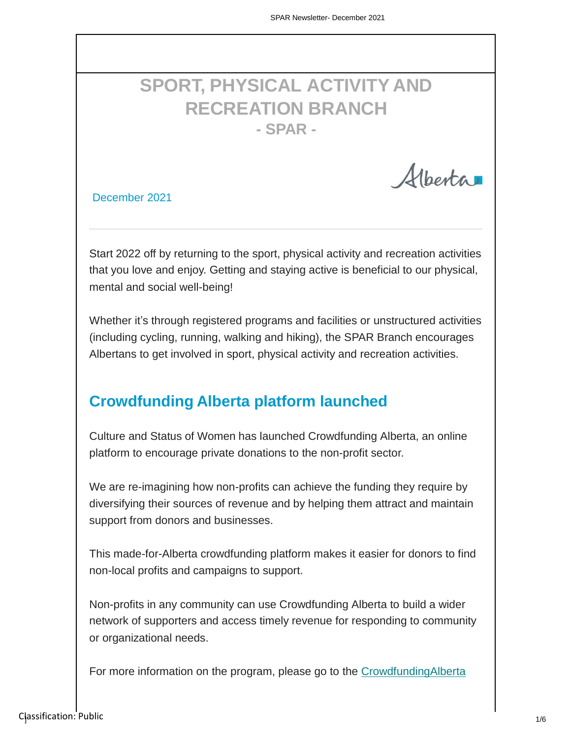# **SPORT, PHYSICAL ACTIVITY AND RECREATION BRANCH - SPAR -**

Alberta

December 2021

Start 2022 off by returning to the sport, physical activity and recreation activities that you love and enjoy. Getting and staying active is beneficial to our physical, mental and social well-being!

Whether it's through registered programs and facilities or unstructured activities (including cycling, running, walking and hiking), the SPAR Branch encourages Albertans to get involved in sport, physical activity and recreation activities.

# **Crowdfunding Alberta platform launched**

Culture and Status of Women has launched Crowdfunding Alberta, an online platform to encourage private donations to the non-profit sector.

We are re-imagining how non-profits can achieve the funding they require by diversifying their sources of revenue and by helping them attract and maintain support from donors and businesses.

This made-for-Alberta crowdfunding platform makes it easier for donors to find non-local profits and campaigns to support.

Non-profits in any community can use Crowdfunding Alberta to build a wider network of supporters and access timely revenue for responding to community or organizational needs.

[For more information on the program, please go to](https://crowdfunding.alberta.ca/) the CrowdfundingAlberta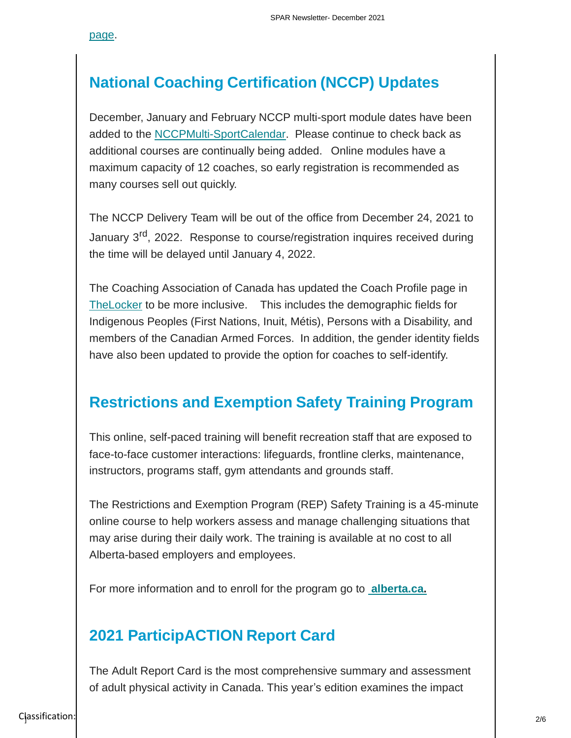[page.](https://crowdfunding.alberta.ca/)

# **National Coaching Certification (NCCP) Updates**

December, January and February NCCP multi-sport module dates have been added to the [NCCPMulti-SportCalendar.](http://edm-goa-web-863:7701/coaching/nccp-multi-sport-module-calendar/) Please continue to check back as additional courses are continually being added. Online modules have a maximum capacity of 12 coaches, so early registration is recommended as many courses sell out quickly.

The NCCP Delivery Team will be out of the office from December 24, 2021 to January 3<sup>rd</sup>, 2022. Response to course/registration inquires received during the time will be delayed until January 4, 2022.

The Coaching Association of Canada has updated the Coach Profile page in [TheLocker](https://thelocker.coach.ca/account/login?ReturnUrl=%2f) to be more inclusive. This includes the demographic fields for Indigenous Peoples (First Nations, Inuit, Métis), Persons with a Disability, and members of the Canadian Armed Forces. In addition, the gender identity fields have also been updated to provide the option for coaches to self-identify.

### **Restrictions and Exemption Safety Training Program**

This online, self-paced training will benefit recreation staff that are exposed to face-to-face customer interactions: lifeguards, frontline clerks, maintenance, instructors, programs staff, gym attendants and grounds staff.

The Restrictions and Exemption Program (REP) Safety Training is a 45-minute online course to help workers assess and manage challenging situations that may arise during their daily work. The training is available at no cost to all Alberta-based employers and employees.

For more information and to enroll for the program go to **[alberta.ca.](https://etraining.arete.ca/courses/-covid-19-customer-conflict-management-communicating-health-and-safety-guidelines-alberta)**

# **2021 ParticipACTION Report Card**

The Adult Report Card is the most comprehensive summary and assessment of adult physical activity in Canada. This year's edition examines the impact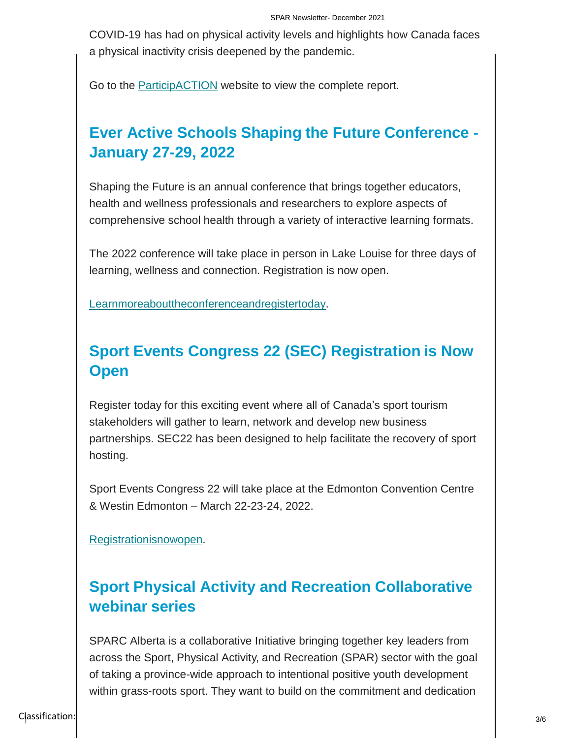COVID-19 has had on physical activity levels and highlights how Canada faces a physical inactivity crisis deepened by the pandemic.

Go to the **ParticipACTION** website to view the complete report.

# **Ever Active Schools Shaping the Future Conference - January 27-29, 2022**

Shaping the Future is an annual conference that brings together educators, health and wellness professionals and researchers to explore aspects of comprehensive school health through a variety of interactive learning formats.

The 2022 conference will take place in person in Lake Louise for three days of learning, wellness and connection. Registration is now open.

[Learnmoreabouttheconferenceandregistertoday.](https://everactive.org/events/stf/)

# **Sport Events Congress 22 (SEC) Registration is Now Open**

Register today for this exciting event where all of Canada's sport tourism stakeholders will gather to learn, network and develop new business partnerships. SEC22 has been designed to help facilitate the recovery of sport hosting.

Sport Events Congress 22 will take place at the Edmonton Convention Centre & Westin Edmonton – March 22-23-24, 2022.

[Registrationisnowopen.](https://sporttourismcanada.com/attend-sec/)

# **Sport Physical Activity and Recreation Collaborative webinar series**

SPARC Alberta is a collaborative Initiative bringing together key leaders from across the Sport, Physical Activity, and Recreation (SPAR) sector with the goal of taking a province-wide approach to intentional positive youth development within grass-roots sport. They want to build on the commitment and dedication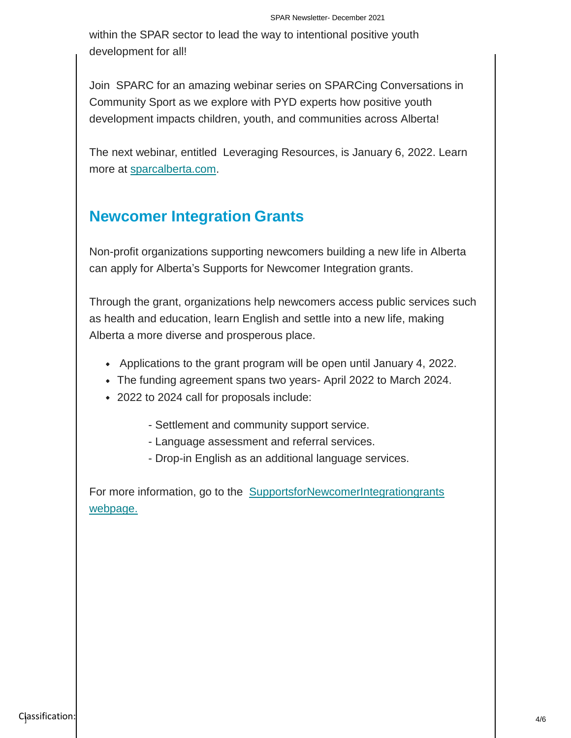within the SPAR sector to lead the way to intentional positive youth development for all!

Join SPARC for an amazing webinar series on SPARCing Conversations in Community Sport as we explore with PYD experts how positive youth development impacts children, youth, and communities across Alberta!

The next webinar, entitled Leveraging Resources, is January 6, 2022. Learn more at [sparcalberta.com.](https://www.sparcalberta.com/)

## **Newcomer Integration Grants**

Non-profit organizations supporting newcomers building a new life in Alberta can apply for Alberta's Supports for Newcomer Integration grants.

Through the grant, organizations help newcomers access public services such as health and education, learn English and settle into a new life, making Alberta a more diverse and prosperous place.

- Applications to the grant program will be open until January 4, 2022.
- The funding agreement spans two years- April 2022 to March 2024.
- 2022 to 2024 call for proposals include:

- Settlement and community support service.

- Language assessment and referral services.
- Drop-in English as an additional language services.

For more information, go to [the SupportsforNewcomerIntegrationgrants](https://www.alberta.ca/supports-for-newcomer-integration-grants.aspx) [webpage.](https://www.alberta.ca/supports-for-newcomer-integration-grants.aspx)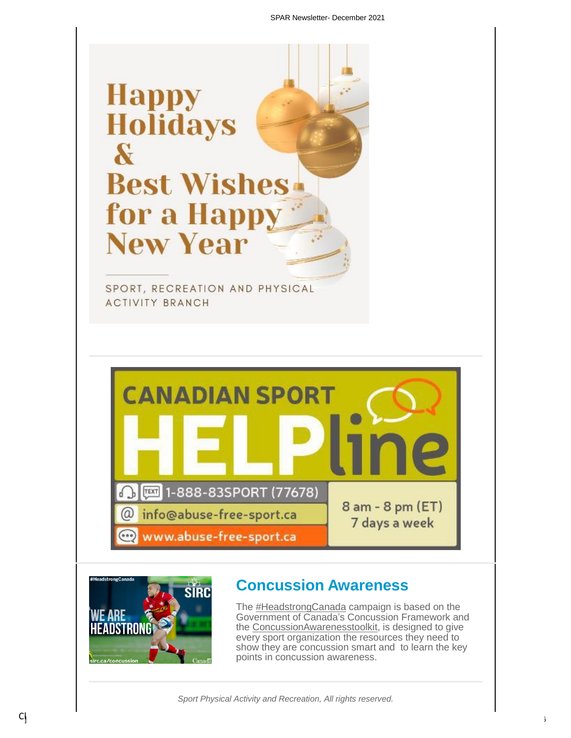



### **Concussion Awareness**

The [#HeadstrongCanada](https://twitter.com/hashtag/headstrongcanada) campaign is based on the Government of Canada's Concussion Framework and the [ConcussionAwarenesstoolkit,](https://sirc.ca/concussion) is designed to give every sport organization the resources they need to show they are concussion smart and to learn the key points in concussion awareness.

*Sport Physical Activity and Recreation, All rights reserved.*